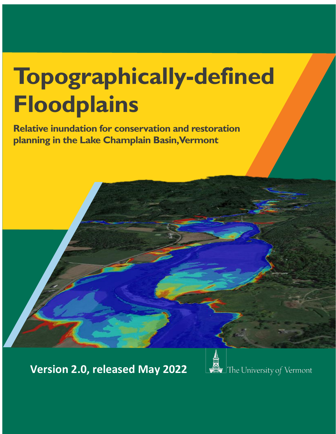# **Topographically-defined Floodplains**

**Relative inundation for conservation and restoration planning in the Lake Champlain Basin, Vermont**

**Version 2.0, released May 2022**

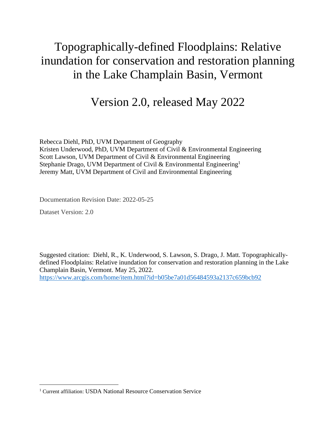# Topographically-defined Floodplains: Relative inundation for conservation and restoration planning in the Lake Champlain Basin, Vermont

# Version 2.0, released May 2022

Rebecca Diehl, PhD, UVM Department of Geography Kristen Underwood, PhD, UVM Department of Civil & Environmental Engineering Scott Lawson, UVM Department of Civil & Environmental Engineering Stephanie Drago, UVM Department of Civil & Environmental Engineering<sup>1</sup> Jeremy Matt, UVM Department of Civil and Environmental Engineering

Documentation Revision Date: 2022-05-25

Dataset Version: 2.0

Suggested citation: Diehl, R., K. Underwood, S. Lawson, S. Drago, J. Matt. Topographicallydefined Floodplains: Relative inundation for conservation and restoration planning in the Lake Champlain Basin, Vermont. May 25, 2022. <https://www.arcgis.com/home/item.html?id=b05be7a01d56484593a2137c659bcb92>

<sup>&</sup>lt;sup>1</sup> Current affiliation: USDA National Resource Conservation Service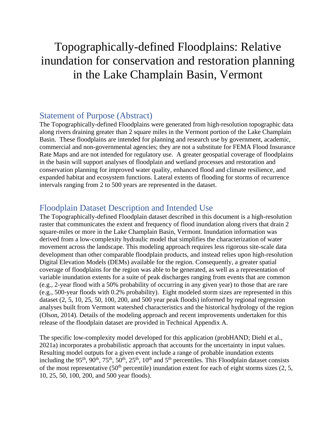# Topographically-defined Floodplains: Relative inundation for conservation and restoration planning in the Lake Champlain Basin, Vermont

## Statement of Purpose (Abstract)

The Topographically-defined Floodplains were generated from high-resolution topographic data along rivers draining greater than 2 square miles in the Vermont portion of the Lake Champlain Basin. These floodplains are intended for planning and research use by government, academic, commercial and non-governmental agencies; they are not a substitute for FEMA Flood Insurance Rate Maps and are not intended for regulatory use. A greater geospatial coverage of floodplains in the basin will support analyses of floodplain and wetland processes and restoration and conservation planning for improved water quality, enhanced flood and climate resilience, and expanded habitat and ecosystem functions. Lateral extents of flooding for storms of recurrence intervals ranging from 2 to 500 years are represented in the dataset.

## Floodplain Dataset Description and Intended Use

The Topographically-defined Floodplain dataset described in this document is a high-resolution raster that communicates the extent and frequency of flood inundation along rivers that drain 2 square-miles or more in the Lake Champlain Basin, Vermont. Inundation information was derived from a low-complexity hydraulic model that simplifies the characterization of water movement across the landscape. This modeling approach requires less rigorous site-scale data development than other comparable floodplain products, and instead relies upon high-resolution Digital Elevation Models (DEMs) available for the region. Consequently, a greater spatial coverage of floodplains for the region was able to be generated, as well as a representation of variable inundation extents for a suite of peak discharges ranging from events that are common (e.g., 2-year flood with a 50% probability of occurring in any given year) to those that are rare (e.g., 500-year floods with 0.2% probability). Eight modeled storm sizes are represented in this dataset (2, 5, 10, 25, 50, 100, 200, and 500 year peak floods) informed by regional regression analyses built from Vermont watershed characteristics and the historical hydrology of the region (Olson, 2014). Details of the modeling approach and recent improvements undertaken for this release of the floodplain dataset are provided in Technical Appendix A.

The specific low-complexity model developed for this application (probHAND; Diehl et al., 2021a) incorporates a probabilistic approach that accounts for the uncertainty in input values. Resulting model outputs for a given event include a range of probable inundation extents including the 95<sup>th</sup>, 90<sup>th</sup>, 75<sup>th</sup>, 50<sup>th</sup>, 25<sup>th</sup>, 10<sup>th</sup> and 5<sup>th</sup> percentiles. This Floodplain dataset consists of the most representative  $(50<sup>th</sup>$  percentile) inundation extent for each of eight storms sizes  $(2, 5, 5)$ 10, 25, 50, 100, 200, and 500 year floods).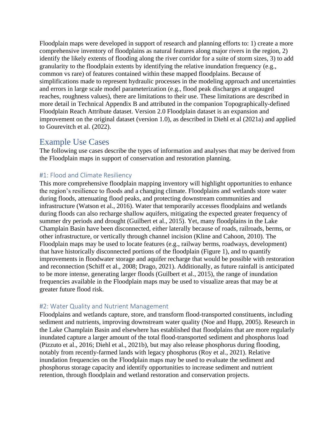Floodplain maps were developed in support of research and planning efforts to: 1) create a more comprehensive inventory of floodplains as natural features along major rivers in the region, 2) identify the likely extents of flooding along the river corridor for a suite of storm sizes, 3) to add granularity to the floodplain extents by identifying the relative inundation frequency (e.g., common vs rare) of features contained within these mapped floodplains. Because of simplifications made to represent hydraulic processes in the modeling approach and uncertainties and errors in large scale model parameterization (e.g., flood peak discharges at ungauged reaches, roughness values), there are limitations to their use. These limitations are described in more detail in Technical Appendix B and attributed in the companion Topographically-defined Floodplain Reach Attribute dataset. Version 2.0 Floodplain dataset is an expansion and improvement on the original dataset (version 1.0), as described in Diehl et al (2021a) and applied to Gourevitch et al. (2022).

## Example Use Cases

The following use cases describe the types of information and analyses that may be derived from the Floodplain maps in support of conservation and restoration planning.

#### #1: Flood and Climate Resiliency

This more comprehensive floodplain mapping inventory will highlight opportunities to enhance the region's resilience to floods and a changing climate. Floodplains and wetlands store water during floods, attenuating flood peaks, and protecting downstream communities and infrastructure (Watson et al., 2016). Water that temporarily accesses floodplains and wetlands during floods can also recharge shallow aquifers, mitigating the expected greater frequency of summer dry periods and drought (Guilbert et al., 2015). Yet, many floodplains in the Lake Champlain Basin have been disconnected, either laterally because of roads, railroads, berms, or other infrastructure, or vertically through channel incision (Kline and Cahoon, 2010). The Floodplain maps may be used to locate features (e.g., railway berms, roadways, development) that have historically disconnected portions of the floodplain (Figure 1), and to quantify improvements in floodwater storage and aquifer recharge that would be possible with restoration and reconnection (Schiff et al., 2008; Drago, 2021). Additionally, as future rainfall is anticipated to be more intense, generating larger floods (Guilbert et al., 2015), the range of inundation frequencies available in the Floodplain maps may be used to visualize areas that may be at greater future flood risk.

#### #2: Water Quality and Nutrient Management

Floodplains and wetlands capture, store, and transform flood-transported constituents, including sediment and nutrients, improving downstream water quality (Noe and Hupp, 2005). Research in the Lake Champlain Basin and elsewhere has established that floodplains that are more regularly inundated capture a larger amount of the total flood-transported sediment and phosphorus load (Pizzuto et al., 2016; Diehl et al., 2021b), but may also release phosphorus during flooding, notably from recently-farmed lands with legacy phosphorus (Roy et al., 2021). Relative inundation frequencies on the Floodplain maps may be used to evaluate the sediment and phosphorus storage capacity and identify opportunities to increase sediment and nutrient retention, through floodplain and wetland restoration and conservation projects.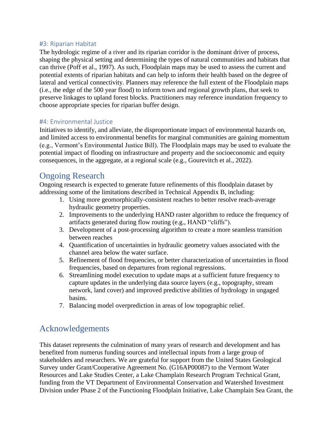#### #3: Riparian Habitat

The hydrologic regime of a river and its riparian corridor is the dominant driver of process, shaping the physical setting and determining the types of natural communities and habitats that can thrive (Poff et al., 1997). As such, Floodplain maps may be used to assess the current and potential extents of riparian habitats and can help to inform their health based on the degree of lateral and vertical connectivity. Planners may reference the full extent of the Floodplain maps (i.e., the edge of the 500 year flood) to inform town and regional growth plans, that seek to preserve linkages to upland forest blocks. Practitioners may reference inundation frequency to choose appropriate species for riparian buffer design.

#### #4: Environmental Justice

Initiatives to identify, and alleviate, the disproportionate impact of environmental hazards on, and limited access to environmental benefits for marginal communities are gaining momentum (e.g., Vermont's Environmental Justice Bill). The Floodplain maps may be used to evaluate the potential impact of flooding on infrastructure and property and the socioeconomic and equity consequences, in the aggregate, at a regional scale (e.g., Gourevitch et al., 2022).

## Ongoing Research

Ongoing research is expected to generate future refinements of this floodplain dataset by addressing some of the limitations described in Technical Appendix B, including:

- 1. Using more geomorphically-consistent reaches to better resolve reach-average hydraulic geometry properties.
- 2. Improvements to the underlying HAND raster algorithm to reduce the frequency of artifacts generated during flow routing (e.g., HAND "cliffs").
- 3. Development of a post-processing algorithm to create a more seamless transition between reaches
- 4. Quantification of uncertainties in hydraulic geometry values associated with the channel area below the water surface.
- 5. Refinement of flood frequencies, or better characterization of uncertainties in flood frequencies, based on departures from regional regressions.
- 6. Streamlining model execution to update maps at a sufficient future frequency to capture updates in the underlying data source layers (e.g., topography, stream network, land cover) and improved predictive abilities of hydrology in ungaged basins.
- 7. Balancing model overprediction in areas of low topographic relief.

# Acknowledgements

This dataset represents the culmination of many years of research and development and has benefited from numerus funding sources and intellectual inputs from a large group of stakeholders and researchers. We are grateful for support from the United States Geological Survey under Grant/Cooperative Agreement No. (G16AP00087) to the Vermont Water Resources and Lake Studies Center, a Lake Champlain Research Program Technical Grant, funding from the VT Department of Environmental Conservation and Watershed Investment Division under Phase 2 of the Functioning Floodplain Initiative, Lake Champlain Sea Grant, the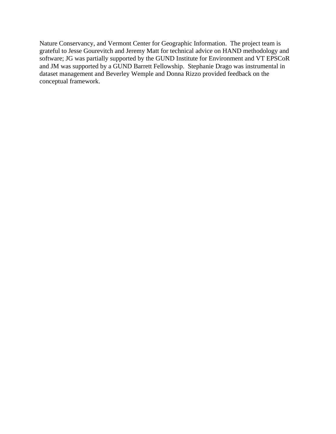Nature Conservancy, and Vermont Center for Geographic Information. The project team is grateful to Jesse Gourevitch and Jeremy Matt for technical advice on HAND methodology and software; JG was partially supported by the GUND Institute for Environment and VT EPSCoR and JM was supported by a GUND Barrett Fellowship. Stephanie Drago was instrumental in dataset management and Beverley Wemple and Donna Rizzo provided feedback on the conceptual framework.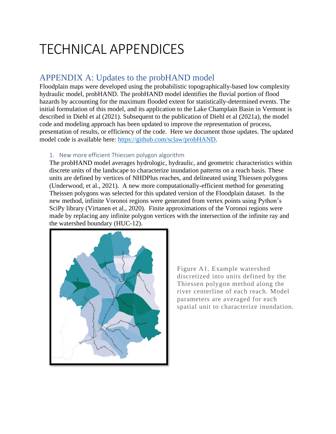# TECHNICAL APPENDICES

# APPENDIX A: Updates to the probHAND model

Floodplain maps were developed using the probabilistic topographically-based low complexity hydraulic model, probHAND. The probHAND model identifies the fluvial portion of flood hazards by accounting for the maximum flooded extent for statistically-determined events. The initial formulation of this model, and its application to the Lake Champlain Basin in Vermont is described in Diehl et al (2021). Subsequent to the publication of Diehl et al (2021a), the model code and modeling approach has been updated to improve the representation of process, presentation of results, or efficiency of the code. Here we document those updates. The updated model code is available here: [https://github.com/sclaw/probHAND.](https://github.com/sclaw/probHAND)

#### 1. New more efficient Thiessen polygon algorithm

The probHAND model averages hydrologic, hydraulic, and geometric characteristics within discrete units of the landscape to characterize inundation patterns on a reach basis. These units are defined by vertices of NHDPlus reaches, and delineated using Thiessen polygons (Underwood, et al., 2021). A new more computationally-efficient method for generating Theissen polygons was selected for this updated version of the Floodplain dataset. In the new method, infinite Voronoi regions were generated from vertex points using Python's SciPy library (Virtanen et al., 2020). Finite approximations of the Voronoi regions were made by replacing any infinite polygon vertices with the intersection of the infinite ray and the watershed boundary (HUC-12).



Figure A1. Example watershed discretized into units defined by the Thiessen polygon method along the river centerline of each reach. Model parameters are averaged for each spatial unit to characterize inundation.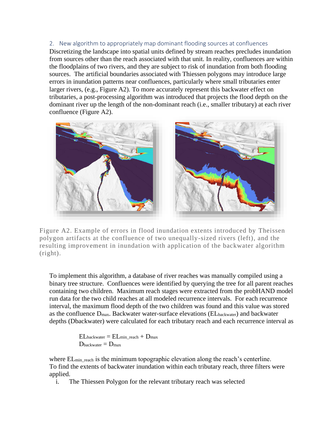2. New algorithm to appropriately map dominant flooding sources at confluences Discretizing the landscape into spatial units defined by stream reaches precludes inundation from sources other than the reach associated with that unit. In reality, confluences are within the floodplains of two rivers, and they are subject to risk of inundation from both flooding sources. The artificial boundaries associated with Thiessen polygons may introduce large errors in inundation patterns near confluences, particularly where small tributaries enter larger rivers, (e.g., Figure A2). To more accurately represent this backwater effect on tributaries, a post-processing algorithm was introduced that projects the flood depth on the dominant river up the length of the non-dominant reach (i.e., smaller tributary) at each river confluence (Figure A2).



Figure A2. Example of errors in flood inundation extents introduced by Theissen polygon artifacts at the confluence of two unequally-sized rivers (left), and the resulting improvement in inundation with application of the backwater algorithm (right).

To implement this algorithm, a database of river reaches was manually compiled using a binary tree structure. Confluences were identified by querying the tree for all parent reaches containing two children. Maximum reach stages were extracted from the probHAND model run data for the two child reaches at all modeled recurrence intervals. For each recurrence interval, the maximum flood depth of the two children was found and this value was stored as the confluence Dmax. Backwater water-surface elevations (ELbackwater) and backwater depths (Dbackwater) were calculated for each tributary reach and each recurrence interval as

> $EL_{\text{backwarder}} = EL_{\text{min\_reach}} + D_{\text{max}}$  $D_{\text{backwarder}} = D_{\text{max}}$

where EL<sub>minreach</sub> is the minimum topographic elevation along the reach's centerline. To find the extents of backwater inundation within each tributary reach, three filters were applied.

i. The Thiessen Polygon for the relevant tributary reach was selected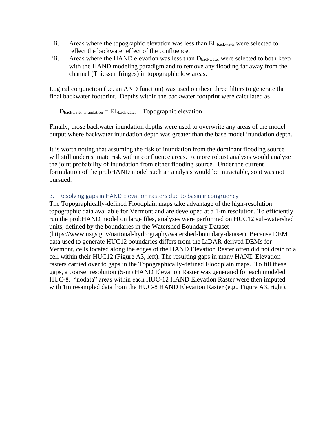- ii. Areas where the topographic elevation was less than ELbackwater were selected to reflect the backwater effect of the confluence.
- iii. Areas where the HAND elevation was less than Dbackwater were selected to both keep with the HAND modeling paradigm and to remove any flooding far away from the channel (Thiessen fringes) in topographic low areas.

Logical conjunction (i.e. an AND function) was used on these three filters to generate the final backwater footprint. Depths within the backwater footprint were calculated as

 $D<sub>backwater_inundation</sub> = EL<sub>backwater</sub> - Topographic elevation$ 

Finally, those backwater inundation depths were used to overwrite any areas of the model output where backwater inundation depth was greater than the base model inundation depth.

It is worth noting that assuming the risk of inundation from the dominant flooding source will still underestimate risk within confluence areas. A more robust analysis would analyze the joint probability of inundation from either flooding source. Under the current formulation of the probHAND model such an analysis would be intractable, so it was not pursued.

#### 3. Resolving gaps in HAND Elevation rasters due to basin incongruency

The Topographically-defined Floodplain maps take advantage of the high-resolution topographic data available for Vermont and are developed at a 1-m resolution. To efficiently run the probHAND model on large files, analyses were performed on HUC12 sub-watershed units, defined by the boundaries in the Watershed Boundary Dataset (https://www.usgs.gov/national-hydrography/watershed-boundary-dataset). Because DEM data used to generate HUC12 boundaries differs from the LiDAR-derived DEMs for Vermont, cells located along the edges of the HAND Elevation Raster often did not drain to a cell within their HUC12 (Figure A3, left). The resulting gaps in many HAND Elevation rasters carried over to gaps in the Topographically-defined Floodplain maps. To fill these gaps, a coarser resolution (5-m) HAND Elevation Raster was generated for each modeled HUC-8. "nodata" areas within each HUC-12 HAND Elevation Raster were then imputed with 1m resampled data from the HUC-8 HAND Elevation Raster (e.g., Figure A3, right).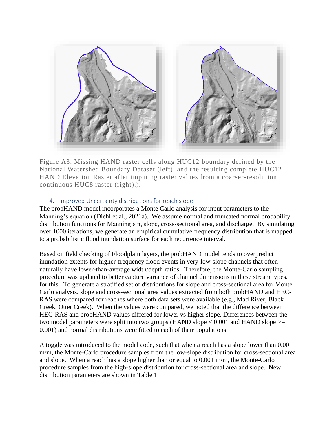

Figure A3. Missing HAND raster cells along HUC12 boundary defined by the National Watershed Boundary Dataset (left), and the resulting complete HUC12 HAND Elevation Raster after imputing raster values from a coarser-resolution continuous HUC8 raster (right).).

#### 4. Improved Uncertainty distributions for reach slope

The probHAND model incorporates a Monte Carlo analysis for input parameters to the Manning's equation (Diehl et al., 2021a). We assume normal and truncated normal probability distribution functions for Manning's n, slope, cross-sectional area, and discharge. By simulating over 1000 iterations, we generate an empirical cumulative frequency distribution that is mapped to a probabilistic flood inundation surface for each recurrence interval.

Based on field checking of Floodplain layers, the probHAND model tends to overpredict inundation extents for higher-frequency flood events in very-low-slope channels that often naturally have lower-than-average width/depth ratios. Therefore, the Monte-Carlo sampling procedure was updated to better capture variance of channel dimensions in these stream types. for this. To generate a stratified set of distributions for slope and cross-sectional area for Monte Carlo analysis, slope and cross-sectional area values extracted from both probHAND and HEC-RAS were compared for reaches where both data sets were available (e.g., Mad River, Black Creek, Otter Creek). When the values were compared, we noted that the difference between HEC-RAS and probHAND values differed for lower vs higher slope. Differences between the two model parameters were split into two groups (HAND slope  $< 0.001$  and HAND slope  $>=$ 0.001) and normal distributions were fitted to each of their populations.

A toggle was introduced to the model code, such that when a reach has a slope lower than 0.001 m/m, the Monte-Carlo procedure samples from the low-slope distribution for cross-sectional area and slope. When a reach has a slope higher than or equal to 0.001 m/m, the Monte-Carlo procedure samples from the high-slope distribution for cross-sectional area and slope. New distribution parameters are shown in Table 1.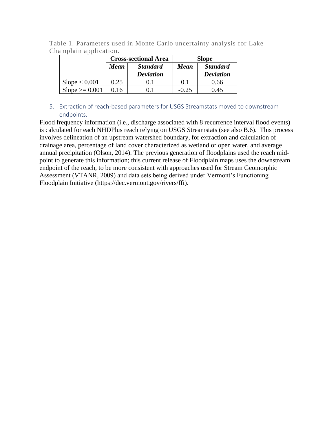Table 1. Parameters used in Monte Carlo uncertainty analysis for Lake Champlain application.

|                  | <b>Cross-sectional Area</b> |                                     | <b>Slope</b> |                                     |
|------------------|-----------------------------|-------------------------------------|--------------|-------------------------------------|
|                  | <b>Mean</b>                 | <b>Standard</b><br><b>Deviation</b> | Mean         | <b>Standard</b><br><b>Deviation</b> |
| Slope < 0.001    | 0.25                        |                                     | 0.1          | 0.66                                |
| $Slope >= 0.001$ | 0.16                        | () I                                | $-0.25$      | 0.45                                |

#### 5. Extraction of reach-based parameters for USGS Streamstats moved to downstream endpoints.

Flood frequency information (i.e., discharge associated with 8 recurrence interval flood events) is calculated for each NHDPlus reach relying on USGS Streamstats (see also B.6). This process involves delineation of an upstream watershed boundary, for extraction and calculation of drainage area, percentage of land cover characterized as wetland or open water, and average annual precipitation (Olson, 2014). The previous generation of floodplains used the reach midpoint to generate this information; this current release of Floodplain maps uses the downstream endpoint of the reach, to be more consistent with approaches used for Stream Geomorphic Assessment (VTANR, 2009) and data sets being derived under Vermont's Functioning Floodplain Initiative (https://dec.vermont.gov/rivers/ffi).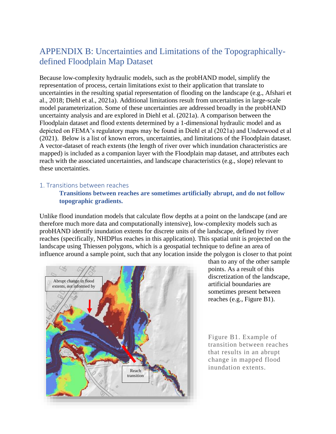# APPENDIX B: Uncertainties and Limitations of the Topographicallydefined Floodplain Map Dataset

Because low-complexity hydraulic models, such as the probHAND model, simplify the representation of process, certain limitations exist to their application that translate to uncertainties in the resulting spatial representation of flooding on the landscape (e.g., Afshari et al., 2018; Diehl et al., 2021a). Additional limitations result from uncertainties in large-scale model parameterization. Some of these uncertainties are addressed broadly in the probHAND uncertainty analysis and are explored in Diehl et al. (2021a). A comparison between the Floodplain dataset and flood extents determined by a 1-dimensional hydraulic model and as depicted on FEMA's regulatory maps may be found in Diehl et al (2021a) and Underwood et al (2021). Below is a list of known errors, uncertainties, and limitations of the Floodplain dataset. A vector-dataset of reach extents (the length of river over which inundation characteristics are mapped) is included as a companion layer with the Floodplain map dataset, and attributes each reach with the associated uncertainties, and landscape characteristics (e.g., slope) relevant to these uncertainties.

#### 1. Transitions between reaches

#### **Transitions between reaches are sometimes artificially abrupt, and do not follow topographic gradients.**

Unlike flood inundation models that calculate flow depths at a point on the landscape (and are therefore much more data and computationally intensive), low-complexity models such as probHAND identify inundation extents for discrete units of the landscape, defined by river reaches (specifically, NHDPlus reaches in this application). This spatial unit is projected on the landscape using Thiessen polygons, which is a geospatial technique to define an area of influence around a sample point, such that any location inside the polygon is closer to that point



than to any of the other sample points. As a result of this discretization of the landscape, artificial boundaries are sometimes present between reaches (e.g., Figure B1).

Figure B1. Example of transition between reaches that results in an abrupt change in mapped flood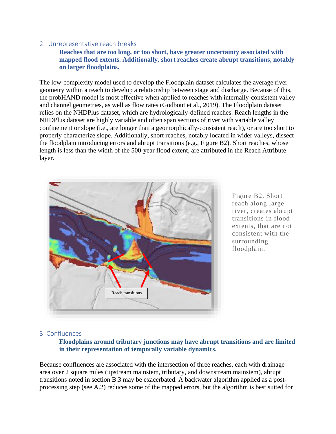#### 2. Unrepresentative reach breaks

**Reaches that are too long, or too short, have greater uncertainty associated with mapped flood extents. Additionally, short reaches create abrupt transitions, notably on larger floodplains.** 

The low-complexity model used to develop the Floodplain dataset calculates the average river geometry within a reach to develop a relationship between stage and discharge. Because of this, the probHAND model is most effective when applied to reaches with internally-consistent valley and channel geometries, as well as flow rates (Godbout et al., 2019). The Floodplain dataset relies on the NHDPlus dataset, which are hydrologically-defined reaches. Reach lengths in the NHDPlus dataset are highly variable and often span sections of river with variable valley confinement or slope (i.e., are longer than a geomorphically-consistent reach), or are too short to properly characterize slope. Additionally, short reaches, notably located in wider valleys, dissect the floodplain introducing errors and abrupt transitions (e.g., Figure B2). Short reaches, whose length is less than the width of the 500-year flood extent, are attributed in the Reach Attribute layer.



Figure B2. Short reach along large river, creates abrupt transitions in flood extents, that are not consistent with the surrounding floodplain.

#### 3. Confluences

#### **Floodplains around tributary junctions may have abrupt transitions and are limited in their representation of temporally variable dynamics.**

Because confluences are associated with the intersection of three reaches, each with drainage area over 2 square miles (upstream mainstem, tributary, and downstream mainstem), abrupt transitions noted in section B.3 may be exacerbated. A backwater algorithm applied as a postprocessing step (see A.2) reduces some of the mapped errors, but the algorithm is best suited for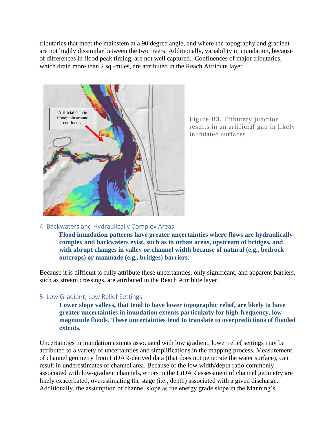tributaries that meet the mainstem at a 90 degree angle, and where the topography and gradient are not highly dissimilar between the two rivers. Additionally, variability in inundation, because of differences in flood peak timing, are not well captured. Confluences of major tributaries, which drain more than 2 sq -miles, are attributed in the Reach Attribute layer.



Figure B3. Tributary junction results in an artificial gap in likely inundated surfaces.

#### 4. Backwaters and Hydraulically Complex Areas

**Flood inundation patterns have greater uncertainties where flows are hydraulically complex and backwaters exist, such as in urban areas, upstream of bridges, and with abrupt changes in valley or channel width because of natural (e.g., bedrock outcrops) or manmade (e.g., bridges) barriers.**

Because it is difficult to fully attribute these uncertainties, only significant, and apparent barriers, such as stream crossings, are attributed in the Reach Attribute layer.

#### 5. Low Gradient, Low Relief Settings

**Lower slope valleys, that tend to have lower topographic relief, are likely to have greater uncertainties in inundation extents particularly for high-frequency, lowmagnitude floods. These uncertainties tend to translate to overpredictions of flooded extents.** 

Uncertainties in inundation extents associated with low gradient, lower relief settings may be attributed to a variety of uncertainties and simplifications in the mapping process. Measurement of channel geometry from LiDAR-derived data (that does not penetrate the water surface), can result in underestimates of channel area. Because of the low width/depth ratio commonly associated with low-gradient channels, errors in the LiDAR assessment of channel geometry are likely exacerbated, overestimating the stage (i.e., depth) associated with a given discharge. Additionally, the assumption of channel slope as the energy grade slope in the Manning's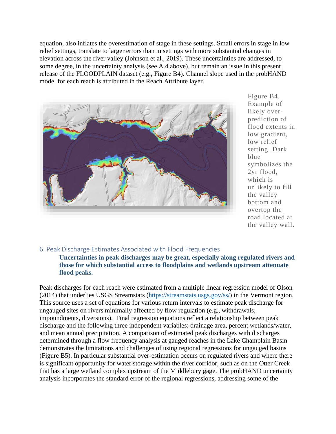equation, also inflates the overestimation of stage in these settings. Small errors in stage in low relief settings, translate to larger errors than in settings with more substantial changes in elevation across the river valley (Johnson et al., 2019). These uncertainties are addressed, to some degree, in the uncertainty analysis (see A.4 above), but remain an issue in this present release of the FLOODPLAIN dataset (e.g., Figure B4). Channel slope used in the probHAND model for each reach is attributed in the Reach Attribute layer.



Figure B4. Example of likely overprediction of flood extents in low gradient, low relief setting. Dark blue symbolizes the 2yr flood, which is unlikely to fill the valley bottom and overtop the road located at the valley wall.

#### 6. Peak Discharge Estimates Associated with Flood Frequencies

**Uncertainties in peak discharges may be great, especially along regulated rivers and those for which substantial access to floodplains and wetlands upstream attenuate flood peaks.** 

Peak discharges for each reach were estimated from a multiple linear regression model of Olson (2014) that underlies USGS Streamstats [\(https://streamstats.usgs.gov/ss/\)](https://streamstats.usgs.gov/ss/) in the Vermont region. This source uses a set of equations for various return intervals to estimate peak discharge for ungauged sites on rivers minimally affected by flow regulation (e.g., withdrawals, impoundments, diversions). Final regression equations reflect a relationship between peak discharge and the following three independent variables: drainage area, percent wetlands/water, and mean annual precipitation. A comparison of estimated peak discharges with discharges determined through a flow frequency analysis at gauged reaches in the Lake Champlain Basin demonstrates the limitations and challenges of using regional regressions for ungauged basins (Figure B5). In particular substantial over-estimation occurs on regulated rivers and where there is significant opportunity for water storage within the river corridor, such as on the Otter Creek that has a large wetland complex upstream of the Middlebury gage. The probHAND uncertainty analysis incorporates the standard error of the regional regressions, addressing some of the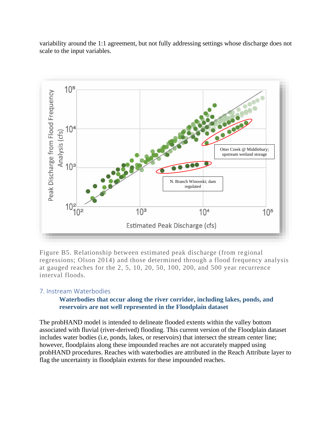



Figure B5. Relationship between estimated peak discharge (from regional regressions; Olson 2014) and those determined through a flood frequency analysis at gauged reaches for the 2, 5, 10, 20, 50, 100, 200, and 500 year recurrence interval floods.

#### 7. Instream Waterbodies

#### **Waterbodies that occur along the river corridor, including lakes, ponds, and reservoirs are not well represented in the Floodplain dataset**

The probHAND model is intended to delineate flooded extents within the valley bottom associated with fluvial (river-derived) flooding. This current version of the Floodplain dataset includes water bodies (i.e, ponds, lakes, or reservoirs) that intersect the stream center line; however, floodplains along these impounded reaches are not accurately mapped using probHAND procedures. Reaches with waterbodies are attributed in the Reach Attribute layer to flag the uncertainty in floodplain extents for these impounded reaches.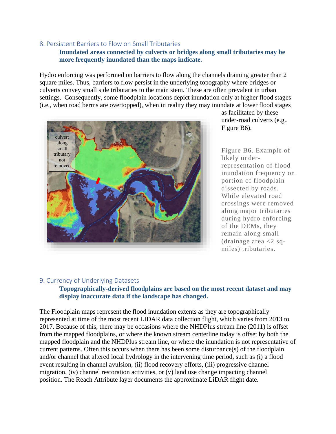#### 8. Persistent Barriers to Flow on Small Tributaries

#### **Inundated areas connected by culverts or bridges along small tributaries may be more frequently inundated than the maps indicate.**

Hydro enforcing was performed on barriers to flow along the channels draining greater than 2 square miles. Thus, barriers to flow persist in the underlying topography where bridges or culverts convey small side tributaries to the main stem. These are often prevalent in urban settings. Consequently, some floodplain locations depict inundation only at higher flood stages (i.e., when road berms are overtopped), when in reality they may inundate at lower flood stages



as facilitated by these under-road culverts (e.g., Figure B6).

Figure B6. Example of likely underrepresentation of flood inundation frequency on portion of floodplain dissected by roads. While elevated road crossings were removed along major tributaries during hydro enforcing of the DEMs, they remain along small (drainage area  $<$ 2 sqmiles) tributaries.

#### 9. Currency of Underlying Datasets

#### **Topographically-derived floodplains are based on the most recent dataset and may display inaccurate data if the landscape has changed.**

The Floodplain maps represent the flood inundation extents as they are topographically represented at time of the most recent LIDAR data collection flight, which varies from 2013 to 2017. Because of this, there may be occasions where the NHDPlus stream line (2011) is offset from the mapped floodplains, or where the known stream centerline today is offset by both the mapped floodplain and the NHDPlus stream line, or where the inundation is not representative of current patterns. Often this occurs when there has been some disturbance(s) of the floodplain and/or channel that altered local hydrology in the intervening time period, such as (i) a flood event resulting in channel avulsion, (ii) flood recovery efforts, (iii) progressive channel migration, (iv) channel restoration activities, or (v) land use change impacting channel position. The Reach Attribute layer documents the approximate LiDAR flight date.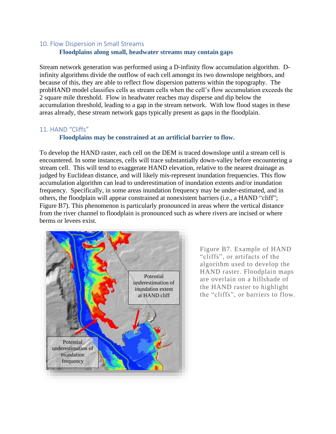#### 10. Flow Dispersion in Small Streams **Floodplains along small, headwater streams may contain gaps**

Stream network generation was performed using a D-infinity flow accumulation algorithm. Dinfinity algorithms divide the outflow of each cell amongst its two downslope neighbors, and because of this, they are able to reflect flow dispersion patterns within the topography. The probHAND model classifies cells as stream cells when the cell's flow accumulation exceeds the 2 square mile threshold. Flow in headwater reaches may disperse and dip below the accumulation threshold, leading to a gap in the stream network. With low flood stages in these areas already, these stream network gaps typically present as gaps in the floodplain.

#### 11. HAND "Cliffs"

#### **Floodplains may be constrained at an artificial barrier to flow.**

To develop the HAND raster, each cell on the DEM is traced downslope until a stream cell is encountered. In some instances, cells will trace substantially down-valley before encountering a stream cell. This will tend to exaggerate HAND elevation, relative to the nearest drainage as judged by Euclidean distance, and will likely mis-represent inundation frequencies. This flow accumulation algorithm can lead to underestimation of inundation extents and/or inundation frequency. Specifically, in some areas inundation frequency may be under-estimated, and in others, the floodplain will appear constrained at nonexistent barriers (i.e., a HAND "cliff"; Figure B7). This phenomenon is particularly pronounced in areas where the vertical distance from the river channel to floodplain is pronounced such as where rivers are incised or where berms or levees exist.



Figure B7. Example of HAND "cliffs", or artifacts of the algorithm used to develop the HAND raster. Floodplain maps are overlain on a hillshade of the HAND raster to highlight the "cliffs", or barriers to flow.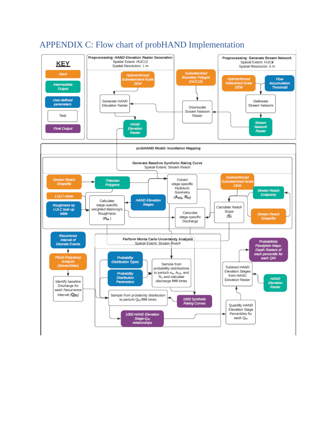

# APPENDIX C: Flow chart of probHAND Implementation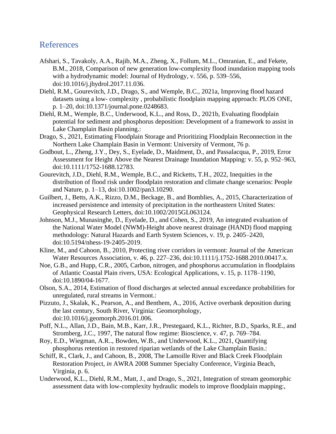## References

- Afshari, S., Tavakoly, A.A., Rajib, M.A., Zheng, X., Follum, M.L., Omranian, E., and Fekete, B.M., 2018, Comparison of new generation low-complexity flood inundation mapping tools with a hydrodynamic model: Journal of Hydrology, v. 556, p. 539–556, doi:10.1016/j.jhydrol.2017.11.036.
- Diehl, R.M., Gourevitch, J.D., Drago, S., and Wemple, B.C., 2021a, Improving flood hazard datasets using a low- complexity , probabilistic floodplain mapping approach: PLOS ONE, p. 1–20, doi:10.1371/journal.pone.0248683.
- Diehl, R.M., Wemple, B.C., Underwood, K.L., and Ross, D., 2021b, Evaluating floodplain potential for sediment and phosphorus deposition: Development of a framework to assist in Lake Champlain Basin planning.:
- Drago, S., 2021, Estimating Floodplain Storage and Prioritizing Floodplain Reconnection in the Northern Lake Champlain Basin in Vermont: University of Vermont, 76 p.
- Godbout, L., Zheng, J.Y., Dey, S., Eyelade, D., Maidment, D., and Passalacqua, P., 2019, Error Assessment for Height Above the Nearest Drainage Inundation Mapping: v. 55, p. 952–963, doi:10.1111/1752-1688.12783.
- Gourevitch, J.D., Diehl, R.M., Wemple, B.C., and Ricketts, T.H., 2022, Inequities in the distribution of flood risk under floodplain restoration and climate change scenarios: People and Nature, p. 1–13, doi:10.1002/pan3.10290.
- Guilbert, J., Betts, A.K., Rizzo, D.M., Beckage, B., and Bomblies, A., 2015, Characterization of increased persistence and intensity of precipitation in the northeastern United States: Geophysical Research Letters, doi:10.1002/2015GL063124.
- Johnson, M.J., Munasinghe, D., Eyelade, D., and Cohen, S., 2019, An integrated evaluation of the National Water Model (NWM)-Height above nearest drainage (HAND) flood mapping methodology: Natural Hazards and Earth System Sciences, v. 19, p. 2405–2420, doi:10.5194/nhess-19-2405-2019.
- Kline, M., and Cahoon, B., 2010, Protecting river corridors in vermont: Journal of the American Water Resources Association, v. 46, p. 227–236, doi:10.1111/j.1752-1688.2010.00417.x.
- Noe, G.B., and Hupp, C.R., 2005, Carbon, nitrogen, and phosphorus accumulation in floodplains of Atlantic Coastal Plain rivers, USA: Ecological Applications, v. 15, p. 1178–1190, doi:10.1890/04-1677.
- Olson, S.A., 2014, Estimation of flood discharges at selected annual exceedance probabilities for unregulated, rural streams in Vermont.:
- Pizzuto, J., Skalak, K., Pearson, A., and Benthem, A., 2016, Active overbank deposition during the last century, South River, Virginia: Geomorphology, doi:10.1016/j.geomorph.2016.01.006.
- Poff, N.L., Allan, J.D., Bain, M.B., Karr, J.R., Prestegaard, K.L., Richter, B.D., Sparks, R.E., and Stromberg, J.C., 1997, The natural flow regime: Bioscience, v. 47, p. 769–784.
- Roy, E.D., Wiegman, A.R.., Bowden, W.B., and Underwood, K.L., 2021, Quantifying phosphorus retention in restored riparian wetlands of the Lake Champlain Basin.:
- Schiff, R., Clark, J., and Cahoon, B., 2008, The Lamoille River and Black Creek Floodplain Restoration Project, *in* AWRA 2008 Summer Specialty Conference, Virginia Beach, Virginia, p. 6.
- Underwood, K.L., Diehl, R.M., Matt, J., and Drago, S., 2021, Integration of stream geomorphic assessment data with low-complexity hydraulic models to improve floodplain mapping:,